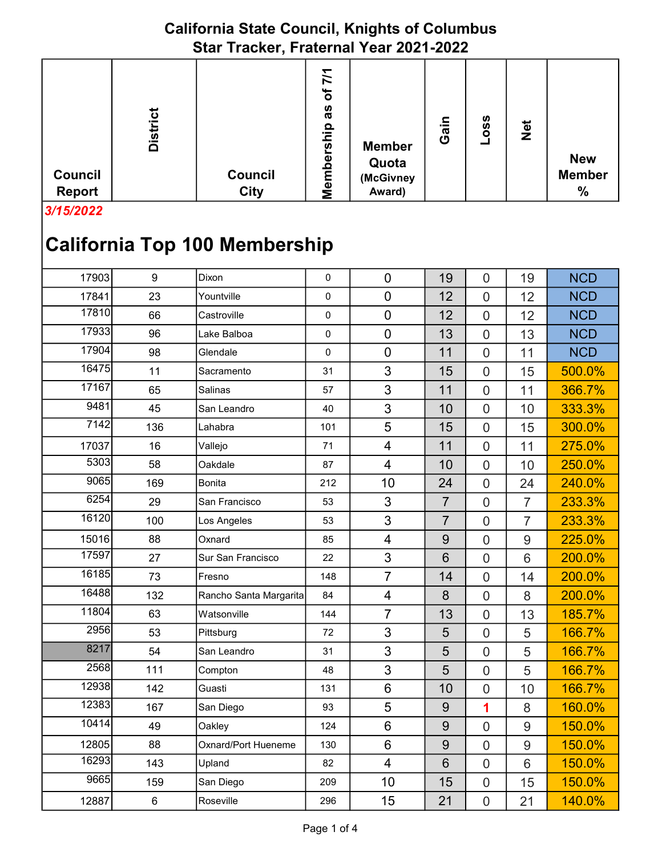3/15/2022

| 17903 | $\boldsymbol{9}$ | Dixon                  | $\mathbf 0$ | $\mathbf 0$              | 19               | $\mathbf 0$    | 19             | <b>NCD</b> |
|-------|------------------|------------------------|-------------|--------------------------|------------------|----------------|----------------|------------|
| 17841 | 23               | Yountville             | $\mathbf 0$ | $\mathbf 0$              | 12               | $\overline{0}$ | 12             | <b>NCD</b> |
| 17810 | 66               | Castroville            | $\pmb{0}$   | $\mathbf 0$              | 12               | $\overline{0}$ | 12             | <b>NCD</b> |
| 17933 | 96               | Lake Balboa            | $\mathbf 0$ | $\overline{0}$           | 13               | $\overline{0}$ | 13             | <b>NCD</b> |
| 17904 | 98               | Glendale               | $\mathbf 0$ | $\overline{0}$           | 11               | $\overline{0}$ | 11             | <b>NCD</b> |
| 16475 | 11               | Sacramento             | 31          | 3                        | 15               | $\overline{0}$ | 15             | 500.0%     |
| 17167 | 65               | Salinas                | 57          | 3                        | 11               | $\overline{0}$ | 11             | 366.7%     |
| 9481  | 45               | San Leandro            | 40          | 3                        | 10               | $\overline{0}$ | 10             | 333.3%     |
| 7142  | 136              | Lahabra                | 101         | 5                        | 15               | $\overline{0}$ | 15             | 300.0%     |
| 17037 | 16               | Vallejo                | 71          | $\overline{\mathcal{A}}$ | 11               | $\overline{0}$ | 11             | 275.0%     |
| 5303  | 58               | Oakdale                | 87          | $\overline{4}$           | 10               | $\overline{0}$ | 10             | 250.0%     |
| 9065  | 169              | <b>Bonita</b>          | 212         | 10                       | 24               | $\mathbf 0$    | 24             | 240.0%     |
| 6254  | 29               | San Francisco          | 53          | 3                        | $\overline{7}$   | $\overline{0}$ | $\overline{7}$ | 233.3%     |
| 16120 | 100              | Los Angeles            | 53          | 3                        | $\overline{7}$   | $\overline{0}$ | $\overline{7}$ | 233.3%     |
| 15016 | 88               | Oxnard                 | 85          | $\overline{\mathbf{4}}$  | $\boldsymbol{9}$ | $\overline{0}$ | 9              | 225.0%     |
| 17597 | 27               | Sur San Francisco      | 22          | 3                        | 6                | $\overline{0}$ | 6              | 200.0%     |
| 16185 | 73               | Fresno                 | 148         | $\overline{7}$           | 14               | $\overline{0}$ | 14             | 200.0%     |
| 16488 | 132              | Rancho Santa Margarita | 84          | $\overline{\mathcal{A}}$ | 8                | $\overline{0}$ | 8              | 200.0%     |
| 11804 | 63               | Watsonville            | 144         | $\overline{7}$           | 13               | $\mathbf 0$    | 13             | 185.7%     |
| 2956  | 53               | Pittsburg              | 72          | 3                        | 5                | $\overline{0}$ | 5              | 166.7%     |
| 8217  | 54               | San Leandro            | 31          | 3                        | 5                | $\overline{0}$ | 5              | 166.7%     |
| 2568  | 111              | Compton                | 48          | 3                        | 5                | $\overline{0}$ | 5              | 166.7%     |
| 12938 | 142              | Guasti                 | 131         | $6\phantom{1}6$          | 10               | $\overline{0}$ | 10             | 166.7%     |
| 12383 | 167              | San Diego              | 93          | 5                        | $9$              | 1              | 8              | 160.0%     |
| 10414 | 49               | Oakley                 | 124         | 6                        | 9                | $\overline{0}$ | 9              | 150.0%     |
| 12805 | 88               | Oxnard/Port Hueneme    | 130         | 6                        | 9                | $\overline{0}$ | 9              | 150.0%     |
| 16293 | 143              | Upland                 | 82          | $\overline{4}$           | 6                | $\overline{0}$ | 6              | 150.0%     |
| 9665  | 159              | San Diego              | 209         | 10                       | 15               | $\overline{0}$ | 15             | 150.0%     |
| 12887 | $\,6$            | Roseville              | 296         | 15                       | 21               | $\overline{0}$ | 21             | 140.0%     |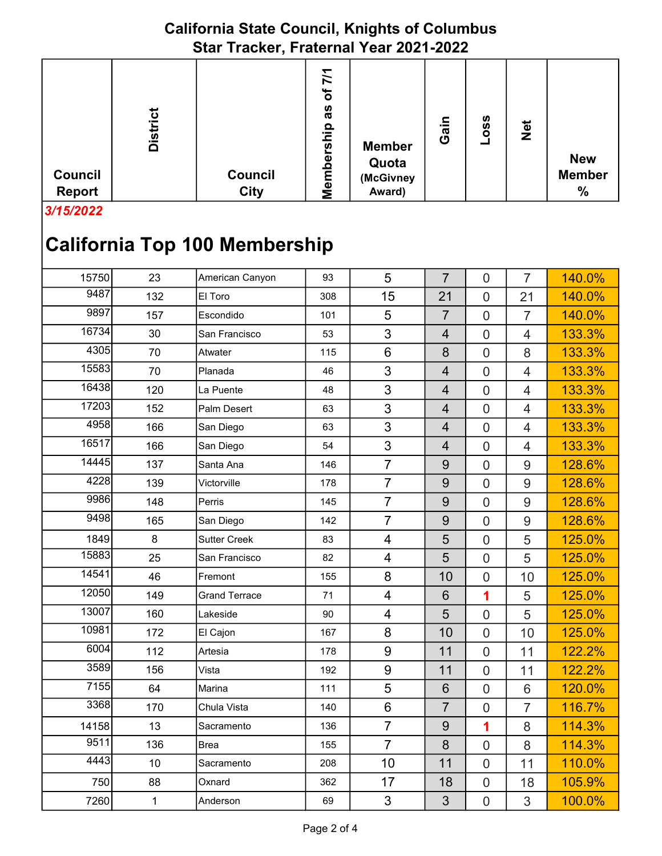| <b>Council</b><br>Report | <b>District</b> | <b>Council</b><br><b>City</b> | $\overline{77}$<br>৳<br>αs<br>qin's<br>Member | <b>Member</b><br>Quota<br>(McGivney<br>Award) | Gain | ပ္တ<br>O | <b>Net</b> | <b>New</b><br><b>Member</b><br>$\frac{0}{0}$ |
|--------------------------|-----------------|-------------------------------|-----------------------------------------------|-----------------------------------------------|------|----------|------------|----------------------------------------------|

3/15/2022

| 15750 | 23           | American Canyon      | 93  | 5              | $\overline{7}$ | $\overline{0}$   | $\overline{7}$ | 140.0% |
|-------|--------------|----------------------|-----|----------------|----------------|------------------|----------------|--------|
| 9487  | 132          | El Toro              | 308 | 15             | 21             | $\overline{0}$   | 21             | 140.0% |
| 9897  | 157          | Escondido            | 101 | 5              | $\overline{7}$ | $\overline{0}$   | $\overline{7}$ | 140.0% |
| 16734 | 30           | San Francisco        | 53  | 3              | $\overline{4}$ | $\overline{0}$   | $\overline{4}$ | 133.3% |
| 4305  | 70           | Atwater              | 115 | 6              | 8              | $\overline{0}$   | 8              | 133.3% |
| 15583 | 70           | Planada              | 46  | 3              | $\overline{4}$ | $\overline{0}$   | $\overline{4}$ | 133.3% |
| 16438 | 120          | La Puente            | 48  | 3              | $\overline{4}$ | $\overline{0}$   | $\overline{4}$ | 133.3% |
| 17203 | 152          | Palm Desert          | 63  | 3              | $\overline{4}$ | $\overline{0}$   | $\overline{4}$ | 133.3% |
| 4958  | 166          | San Diego            | 63  | 3              | $\overline{4}$ | $\overline{0}$   | $\overline{4}$ | 133.3% |
| 16517 | 166          | San Diego            | 54  | 3              | $\overline{4}$ | $\overline{0}$   | $\overline{4}$ | 133.3% |
| 14445 | 137          | Santa Ana            | 146 | $\overline{7}$ | $\overline{9}$ | $\overline{0}$   | 9              | 128.6% |
| 4228  | 139          | Victorville          | 178 | $\overline{7}$ | 9              | $\overline{0}$   | 9              | 128.6% |
| 9986  | 148          | Perris               | 145 | $\overline{7}$ | $9\,$          | $\overline{0}$   | 9              | 128.6% |
| 9498  | 165          | San Diego            | 142 | $\overline{7}$ | 9              | $\overline{0}$   | 9              | 128.6% |
| 1849  | 8            | <b>Sutter Creek</b>  | 83  | $\overline{4}$ | 5              | $\overline{0}$   | 5              | 125.0% |
| 15883 | 25           | San Francisco        | 82  | $\overline{4}$ | 5              | $\overline{0}$   | 5              | 125.0% |
| 14541 | 46           | Fremont              | 155 | 8              | 10             | $\overline{0}$   | 10             | 125.0% |
| 12050 | 149          | <b>Grand Terrace</b> | 71  | $\overline{4}$ | $6\phantom{1}$ | 1                | 5              | 125.0% |
| 13007 | 160          | Lakeside             | 90  | 4              | 5              | $\overline{0}$   | 5              | 125.0% |
| 10981 | 172          | El Cajon             | 167 | 8              | 10             | $\overline{0}$   | 10             | 125.0% |
| 6004  | 112          | Artesia              | 178 | 9              | 11             | $\mathbf 0$      | 11             | 122.2% |
| 3589  | 156          | Vista                | 192 | 9              | 11             | $\overline{0}$   | 11             | 122.2% |
| 7155  | 64           | Marina               | 111 | 5              | $6\phantom{1}$ | $\overline{0}$   | 6              | 120.0% |
| 3368  | 170          | Chula Vista          | 140 | 6              | $\overline{7}$ | $\overline{0}$   | $\overline{7}$ | 116.7% |
| 14158 | 13           | Sacramento           | 136 | $\overline{7}$ | 9              | 1                | 8              | 114.3% |
| 9511  | 136          | <b>Brea</b>          | 155 | $\overline{7}$ | 8              | $\overline{0}$   | 8              | 114.3% |
| 4443  | 10           | Sacramento           | 208 | 10             | 11             | $\overline{0}$   | 11             | 110.0% |
| 750   | 88           | Oxnard               | 362 | 17             | 18             | $\boldsymbol{0}$ | 18             | 105.9% |
| 7260  | $\mathbf{1}$ | Anderson             | 69  | 3              | 3              | $\overline{0}$   | 3              | 100.0% |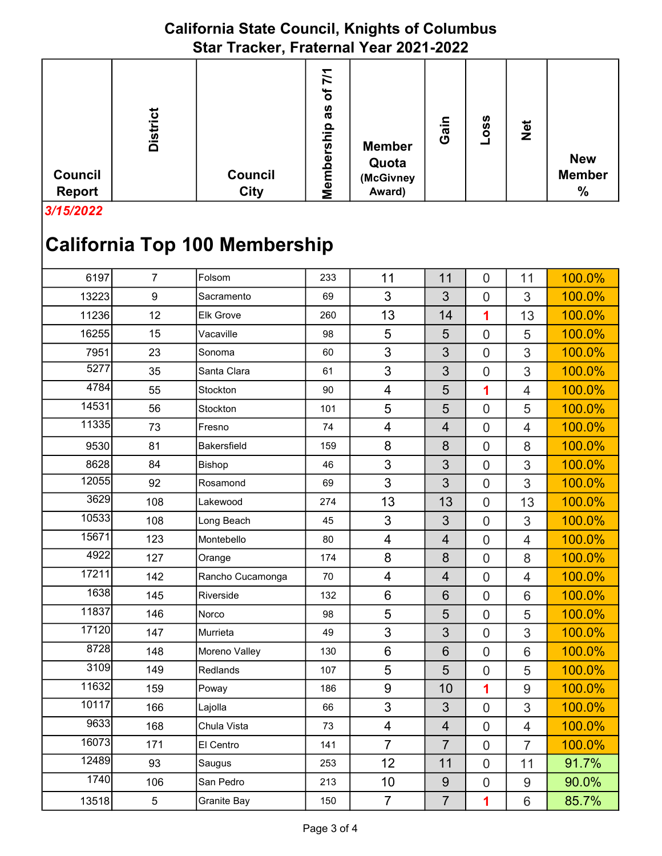|                                 |                 | $-$                    |                                                                         |                                               |      |                 |     |                                              |
|---------------------------------|-----------------|------------------------|-------------------------------------------------------------------------|-----------------------------------------------|------|-----------------|-----|----------------------------------------------|
| <b>Council</b><br><b>Report</b> | <b>District</b> | Council<br><b>City</b> | $\geq$<br>৳<br>as<br><u>م.</u><br><u>Ω</u><br><b>S</b><br>Φ<br>emb<br>Ź | <b>Member</b><br>Quota<br>(McGivney<br>Award) | Gain | <b>OSS</b><br>┙ | Net | <b>New</b><br><b>Member</b><br>$\frac{0}{0}$ |

3/15/2022

| 6197  | $\overline{7}$   | Folsom           | 233 | 11                      | 11              | $\mathbf 0$      | 11             | 100.0% |
|-------|------------------|------------------|-----|-------------------------|-----------------|------------------|----------------|--------|
| 13223 | $\boldsymbol{9}$ | Sacramento       | 69  | 3                       | 3               | $\mathbf 0$      | 3              | 100.0% |
| 11236 | 12               | <b>Elk Grove</b> | 260 | 13                      | 14              | 1                | 13             | 100.0% |
| 16255 | 15               | Vacaville        | 98  | 5                       | 5               | $\mathbf 0$      | 5              | 100.0% |
| 7951  | 23               | Sonoma           | 60  | 3                       | 3               | $\overline{0}$   | 3              | 100.0% |
| 5277  | 35               | Santa Clara      | 61  | 3                       | 3               | $\overline{0}$   | 3              | 100.0% |
| 4784  | 55               | Stockton         | 90  | $\overline{4}$          | 5               | 1                | $\overline{4}$ | 100.0% |
| 14531 | 56               | Stockton         | 101 | 5                       | 5               | $\overline{0}$   | 5              | 100.0% |
| 11335 | 73               | Fresno           | 74  | $\overline{4}$          | $\overline{4}$  | $\mathbf 0$      | $\overline{4}$ | 100.0% |
| 9530  | 81               | Bakersfield      | 159 | 8                       | 8               | $\boldsymbol{0}$ | 8              | 100.0% |
| 8628  | 84               | Bishop           | 46  | 3                       | 3               | $\mathbf 0$      | 3              | 100.0% |
| 12055 | 92               | Rosamond         | 69  | $\mathfrak{S}$          | 3               | $\mathbf 0$      | 3              | 100.0% |
| 3629  | 108              | Lakewood         | 274 | 13                      | 13              | $\boldsymbol{0}$ | 13             | 100.0% |
| 10533 | 108              | Long Beach       | 45  | 3                       | 3               | $\mathbf 0$      | 3              | 100.0% |
| 15671 | 123              | Montebello       | 80  | $\overline{\mathbf{4}}$ | $\overline{4}$  | $\mathbf 0$      | $\overline{4}$ | 100.0% |
| 4922  | 127              | Orange           | 174 | 8                       | 8               | $\overline{0}$   | 8              | 100.0% |
| 17211 | 142              | Rancho Cucamonga | 70  | $\overline{4}$          | $\overline{4}$  | $\mathbf 0$      | $\overline{4}$ | 100.0% |
| 1638  | 145              | Riverside        | 132 | $6\phantom{1}6$         | $6\phantom{1}$  | $\mathbf 0$      | 6              | 100.0% |
| 11837 | 146              | Norco            | 98  | 5                       | 5               | $\mathbf 0$      | 5              | 100.0% |
| 17120 | 147              | Murrieta         | 49  | 3                       | 3               | $\mathbf 0$      | 3              | 100.0% |
| 8728  | 148              | Moreno Valley    | 130 | $6\phantom{1}$          | $6\phantom{1}6$ | $\mathbf 0$      | $6\phantom{1}$ | 100.0% |
| 3109  | 149              | <b>Redlands</b>  | 107 | 5                       | 5               | $\overline{0}$   | 5              | 100.0% |
| 11632 | 159              | Poway            | 186 | $9\,$                   | 10              | 1                | 9              | 100.0% |
| 10117 | 166              | Lajolla          | 66  | 3                       | 3               | $\mathbf 0$      | 3              | 100.0% |
| 9633  | 168              | Chula Vista      | 73  | $\overline{4}$          | $\overline{4}$  | $\mathbf 0$      | $\overline{4}$ | 100.0% |
| 16073 | 171              | El Centro        | 141 | $\overline{7}$          | $\overline{7}$  | $\mathbf 0$      | $\overline{7}$ | 100.0% |
| 12489 | 93               | Saugus           | 253 | 12                      | 11              | $\overline{0}$   | 11             | 91.7%  |
| 1740  | 106              | San Pedro        | 213 | 10                      | 9               | $\boldsymbol{0}$ | 9              | 90.0%  |
| 13518 | $\sqrt{5}$       | Granite Bay      | 150 | $\overline{7}$          | $\overline{7}$  | 1                | 6              | 85.7%  |